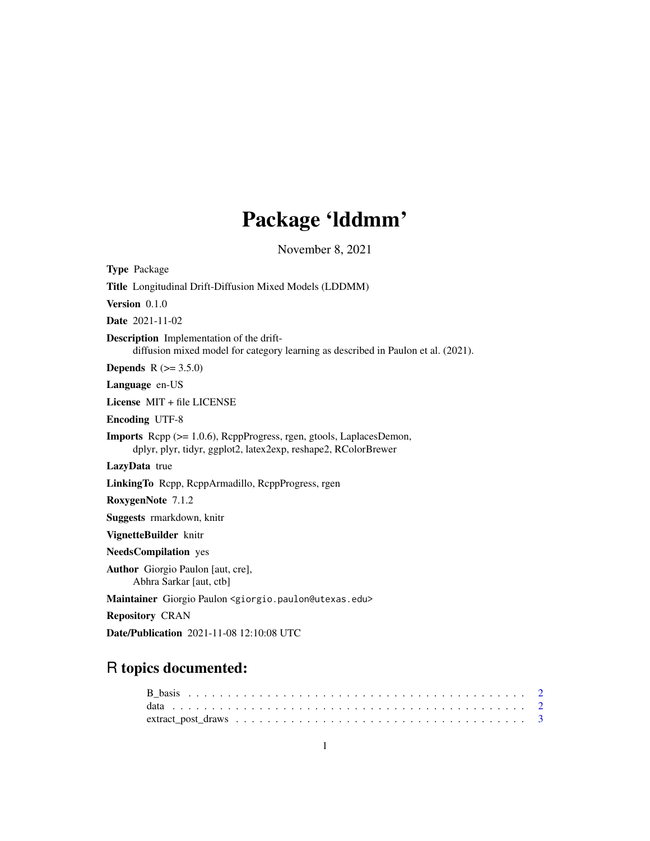## Package 'lddmm'

November 8, 2021

| <b>Type Package</b>                                                                                                                   |
|---------------------------------------------------------------------------------------------------------------------------------------|
| Title Longitudinal Drift-Diffusion Mixed Models (LDDMM)                                                                               |
| Version $0.1.0$                                                                                                                       |
| <b>Date</b> 2021-11-02                                                                                                                |
| <b>Description</b> Implementation of the drift-<br>diffusion mixed model for category learning as described in Paulon et al. (2021).  |
| <b>Depends</b> $R (= 3.5.0)$                                                                                                          |
| Language en-US                                                                                                                        |
| License $MIT + file LICENSE$                                                                                                          |
| <b>Encoding UTF-8</b>                                                                                                                 |
| Imports Rcpp (>= 1.0.6), RcppProgress, rgen, gtools, LaplacesDemon,<br>dplyr, plyr, tidyr, ggplot2, latex2exp, reshape2, RColorBrewer |
| LazyData true                                                                                                                         |
| LinkingTo Repp, ReppArmadillo, ReppProgress, rgen                                                                                     |
| RoxygenNote 7.1.2                                                                                                                     |
| Suggests rmarkdown, knitr                                                                                                             |
| VignetteBuilder knitr                                                                                                                 |
| <b>NeedsCompilation</b> yes                                                                                                           |
| <b>Author</b> Giorgio Paulon [aut, cre],<br>Abhra Sarkar [aut, ctb]                                                                   |
| Maintainer Giorgio Paulon < giorgio.paulon@utexas.edu>                                                                                |
| <b>Repository CRAN</b>                                                                                                                |
|                                                                                                                                       |

Date/Publication 2021-11-08 12:10:08 UTC

### R topics documented:

| $\text{extract\_post\_draws} \dots \dots \dots \dots \dots \dots \dots \dots \dots \dots \dots \dots \dots \dots \dots \dots \dots \dots$ |  |  |  |  |  |  |  |  |  |  |  |  |  |  |  |  |  |  |
|-------------------------------------------------------------------------------------------------------------------------------------------|--|--|--|--|--|--|--|--|--|--|--|--|--|--|--|--|--|--|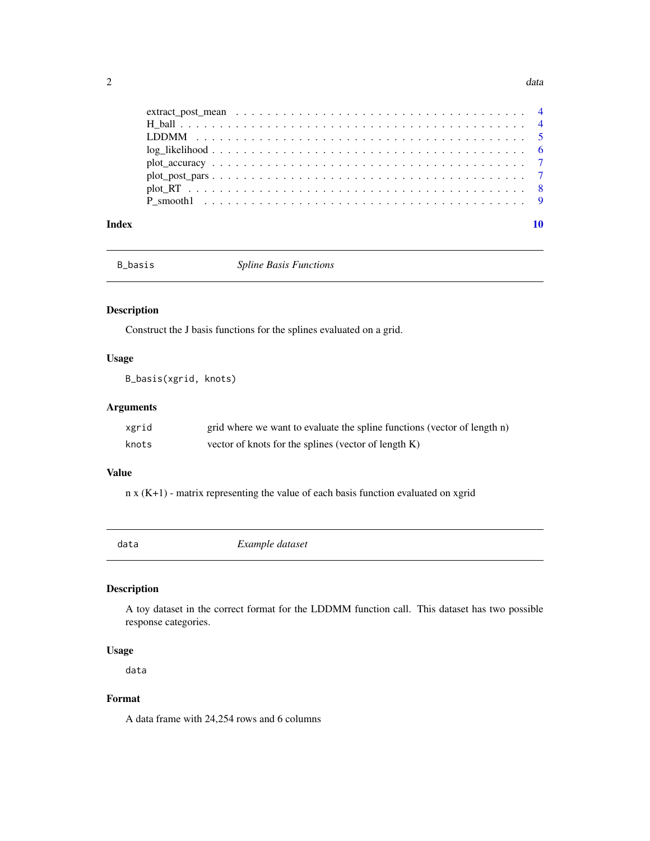<span id="page-1-0"></span>

|       | LDDMM $\ldots \ldots \ldots \ldots \ldots \ldots \ldots \ldots \ldots \ldots \ldots \ldots \ldots$ |  |
|-------|----------------------------------------------------------------------------------------------------|--|
|       |                                                                                                    |  |
|       |                                                                                                    |  |
|       |                                                                                                    |  |
|       |                                                                                                    |  |
|       |                                                                                                    |  |
|       |                                                                                                    |  |
| Index |                                                                                                    |  |

B\_basis *Spline Basis Functions*

#### Description

Construct the J basis functions for the splines evaluated on a grid.

#### Usage

B\_basis(xgrid, knots)

#### Arguments

| xgrid | grid where we want to evaluate the spline functions (vector of length n) |
|-------|--------------------------------------------------------------------------|
| knots | vector of knots for the splines (vector of length K)                     |

#### Value

n x (K+1) - matrix representing the value of each basis function evaluated on xgrid

| data | Example dataset |
|------|-----------------|
|      |                 |

#### Description

A toy dataset in the correct format for the LDDMM function call. This dataset has two possible response categories.

#### Usage

data

#### Format

A data frame with 24,254 rows and 6 columns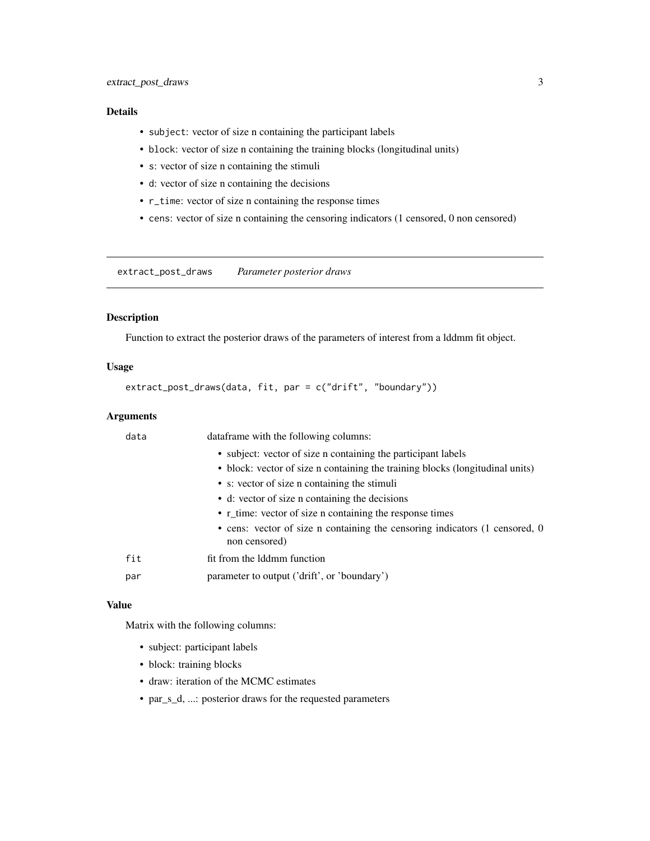#### <span id="page-2-0"></span>Details

- subject: vector of size n containing the participant labels
- block: vector of size n containing the training blocks (longitudinal units)
- s: vector of size n containing the stimuli
- d: vector of size n containing the decisions
- r\_time: vector of size n containing the response times
- cens: vector of size n containing the censoring indicators (1 censored, 0 non censored)

extract\_post\_draws *Parameter posterior draws*

#### Description

Function to extract the posterior draws of the parameters of interest from a lddmm fit object.

#### Usage

```
extract_post_draws(data, fit, par = c("drift", "boundary"))
```
#### Arguments

| data | dataframe with the following columns:                                                        |
|------|----------------------------------------------------------------------------------------------|
|      | • subject: vector of size n containing the participant labels                                |
|      | • block: vector of size n containing the training blocks (longitudinal units)                |
|      | • s: vector of size n containing the stimuli                                                 |
|      | • d: vector of size n containing the decisions                                               |
|      | • r_time: vector of size n containing the response times                                     |
|      | • cens: vector of size n containing the censoring indicators (1 censored, 0<br>non censored) |
| fit  | fit from the Iddmm function                                                                  |
| par  | parameter to output ('drift', or 'boundary')                                                 |

#### Value

Matrix with the following columns:

- subject: participant labels
- block: training blocks
- draw: iteration of the MCMC estimates
- par\_s\_d, ...: posterior draws for the requested parameters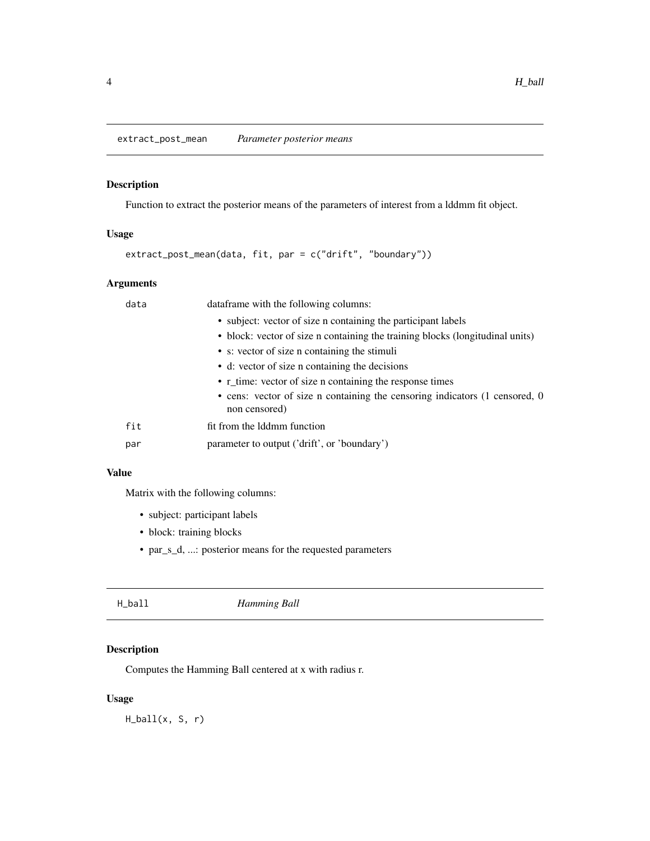<span id="page-3-0"></span>extract\_post\_mean *Parameter posterior means*

#### Description

Function to extract the posterior means of the parameters of interest from a lddmm fit object.

#### Usage

```
extract_post_mean(data, fit, par = c("drift", "boundary"))
```
#### Arguments

| data | dataframe with the following columns:                                                        |
|------|----------------------------------------------------------------------------------------------|
|      | • subject: vector of size n containing the participant labels                                |
|      | • block: vector of size n containing the training blocks (longitudinal units)                |
|      | • s: vector of size n containing the stimuli                                                 |
|      | • d: vector of size n containing the decisions                                               |
|      | • r_time: vector of size n containing the response times                                     |
|      | • cens: vector of size n containing the censoring indicators (1 censored, 0<br>non censored) |
| fit  | fit from the Iddmm function                                                                  |
| par  | parameter to output ('drift', or 'boundary')                                                 |
|      |                                                                                              |

#### Value

Matrix with the following columns:

- subject: participant labels
- block: training blocks
- par\_s\_d, ...: posterior means for the requested parameters

| H_ball<br>Hamming Ball |  |
|------------------------|--|
|------------------------|--|

#### Description

Computes the Hamming Ball centered at x with radius r.

#### Usage

 $H_ball(x, S, r)$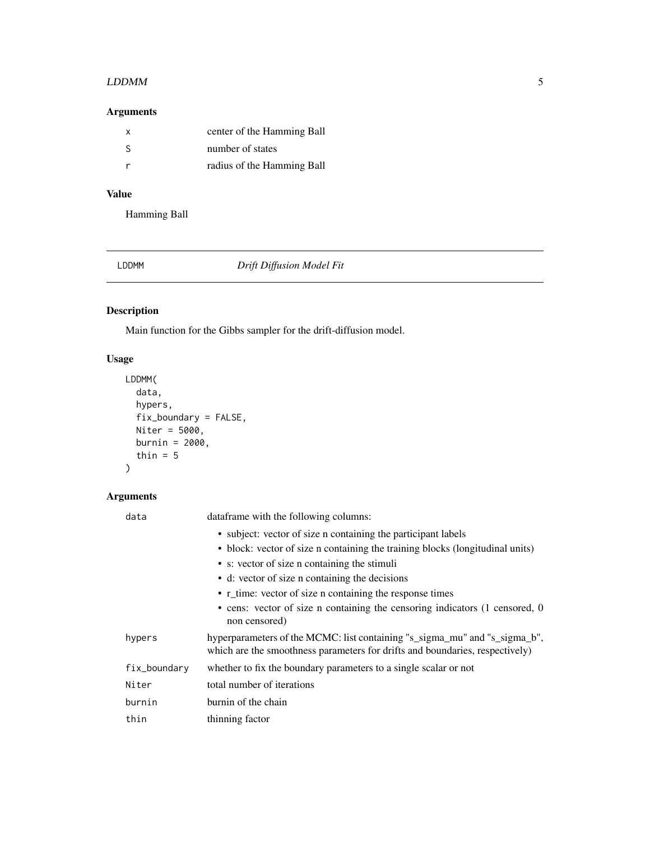#### <span id="page-4-0"></span> $LDDMM$  5

#### Arguments

| X  | center of the Hamming Ball |
|----|----------------------------|
| -S | number of states           |
|    | radius of the Hamming Ball |

#### Value

Hamming Ball

LDDMM *Drift Diffusion Model Fit*

### Description

Main function for the Gibbs sampler for the drift-diffusion model.

#### Usage

```
LDDMM(
data,
hypers,
fix_boundary = FALSE,
Niter = 5000,
burnin = 2000,
thin = 5\mathcal{L}
```
#### Arguments

| data         | dataframe with the following columns:                                                                                                                      |
|--------------|------------------------------------------------------------------------------------------------------------------------------------------------------------|
|              | • subject: vector of size n containing the participant labels                                                                                              |
|              | • block: vector of size n containing the training blocks (longitudinal units)                                                                              |
|              | • s: vector of size n containing the stimuli                                                                                                               |
|              | • d: vector of size n containing the decisions                                                                                                             |
|              | • r_time: vector of size n containing the response times                                                                                                   |
|              | • cens: vector of size n containing the censoring indicators (1 censored, 0<br>non censored)                                                               |
| hypers       | hyperparameters of the MCMC: list containing "s_sigma_mu" and "s_sigma_b",<br>which are the smoothness parameters for drifts and boundaries, respectively) |
| fix_boundary | whether to fix the boundary parameters to a single scalar or not                                                                                           |
| Niter        | total number of iterations                                                                                                                                 |
| burnin       | burnin of the chain                                                                                                                                        |
| thin         | thinning factor                                                                                                                                            |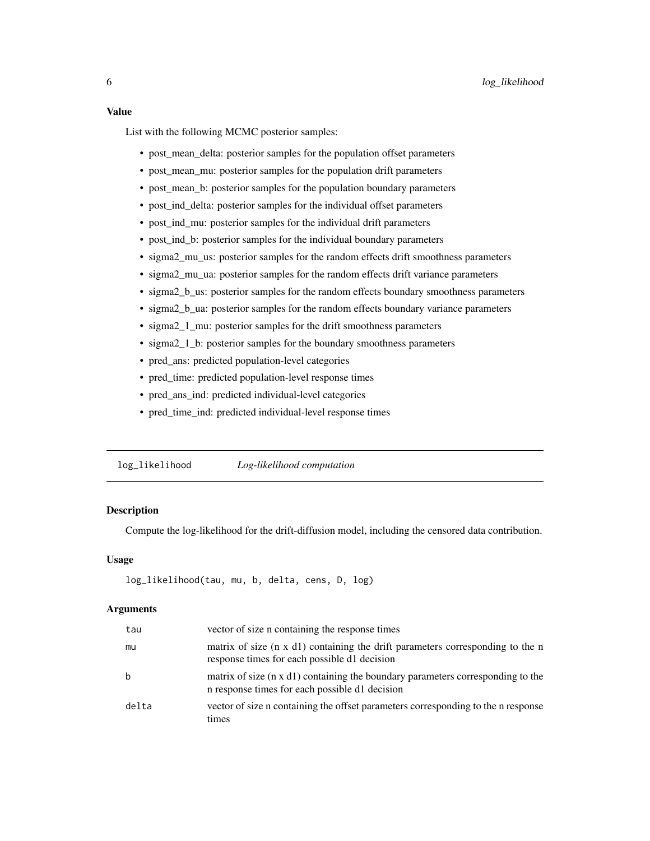<span id="page-5-0"></span>List with the following MCMC posterior samples:

- post mean delta: posterior samples for the population offset parameters
- post mean mu: posterior samples for the population drift parameters
- post\_mean\_b: posterior samples for the population boundary parameters
- post\_ind\_delta: posterior samples for the individual offset parameters
- post\_ind\_mu: posterior samples for the individual drift parameters
- post\_ind\_b: posterior samples for the individual boundary parameters
- sigma2\_mu\_us: posterior samples for the random effects drift smoothness parameters
- sigma2\_mu\_ua: posterior samples for the random effects drift variance parameters
- sigma2<sub>\_b\_us:</sub> posterior samples for the random effects boundary smoothness parameters
- sigma2\_b\_ua: posterior samples for the random effects boundary variance parameters
- sigma2\_1\_mu: posterior samples for the drift smoothness parameters
- sigma2\_1\_b: posterior samples for the boundary smoothness parameters
- pred\_ans: predicted population-level categories
- pred\_time: predicted population-level response times
- pred ans ind: predicted individual-level categories
- pred\_time\_ind: predicted individual-level response times

log\_likelihood *Log-likelihood computation*

#### **Description**

Compute the log-likelihood for the drift-diffusion model, including the censored data contribution.

#### Usage

```
log_likelihood(tau, mu, b, delta, cens, D, log)
```
#### Arguments

| tau   | vector of size n containing the response times                                                                                          |
|-------|-----------------------------------------------------------------------------------------------------------------------------------------|
| mu    | matrix of size $(n \times d)$ containing the drift parameters corresponding to the n<br>response times for each possible d1 decision    |
| b     | matrix of size $(n \times d)$ containing the boundary parameters corresponding to the<br>n response times for each possible d1 decision |
| delta | vector of size n containing the offset parameters corresponding to the n response<br>times                                              |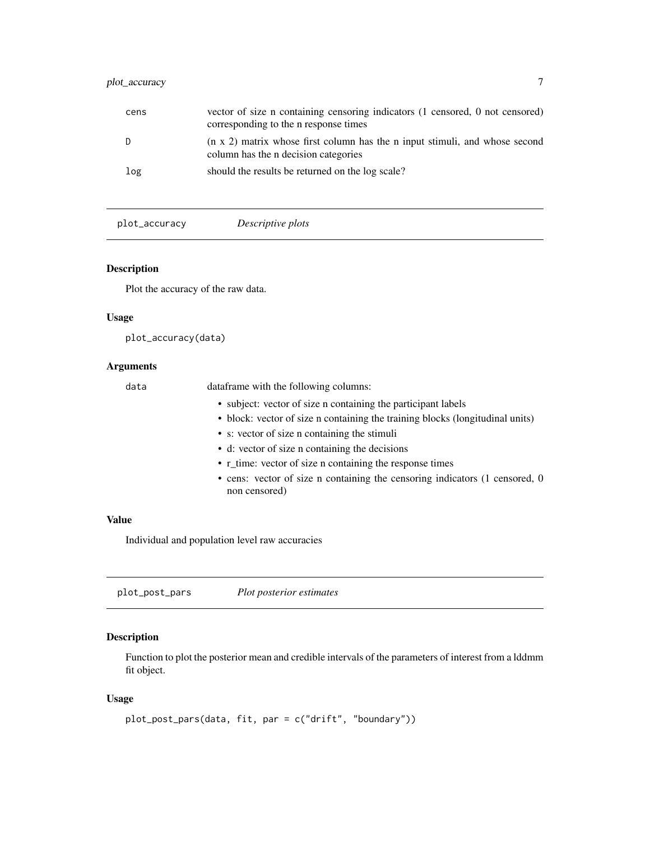#### <span id="page-6-0"></span>plot\_accuracy 7

| cens | vector of size n containing censoring indicators (1 censored, 0 not censored)<br>corresponding to the n response times            |
|------|-----------------------------------------------------------------------------------------------------------------------------------|
|      | $(n \times 2)$ matrix whose first column has the n input stimuli, and whose second<br>column has the <i>n</i> decision categories |
| log  | should the results be returned on the log scale?                                                                                  |

plot\_accuracy *Descriptive plots*

#### Description

Plot the accuracy of the raw data.

#### Usage

plot\_accuracy(data)

#### Arguments

data dataframe with the following columns: • subject: vector of size n containing the participant labels • block: vector of size n containing the training blocks (longitudinal units) • s: vector of size n containing the stimuli • d: vector of size n containing the decisions • r\_time: vector of size n containing the response times • cens: vector of size n containing the censoring indicators (1 censored, 0 non censored)

#### Value

Individual and population level raw accuracies

plot\_post\_pars *Plot posterior estimates*

#### Description

Function to plot the posterior mean and credible intervals of the parameters of interest from a lddmm fit object.

#### Usage

```
plot_post_pars(data, fit, par = c("drift", "boundary"))
```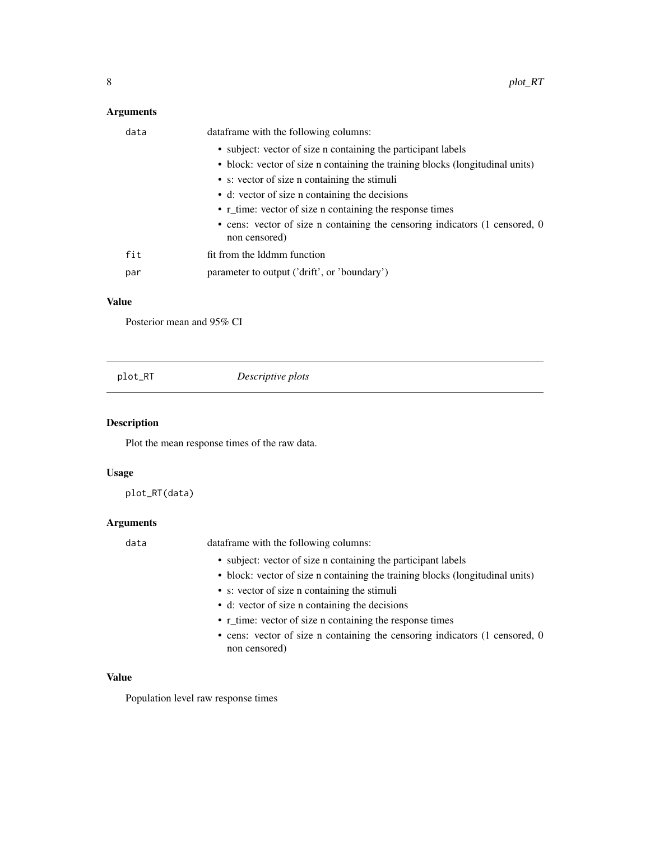#### <span id="page-7-0"></span>Arguments

| data | data frame with the following columns:                                                       |
|------|----------------------------------------------------------------------------------------------|
|      | • subject: vector of size n containing the participant labels                                |
|      | • block: vector of size n containing the training blocks (longitudinal units)                |
|      | • s: vector of size n containing the stimuli                                                 |
|      | • d: vector of size n containing the decisions                                               |
|      | • r_time: vector of size n containing the response times                                     |
|      | • cens: vector of size n containing the censoring indicators (1 censored, 0<br>non censored) |
| fit  | fit from the Iddmm function                                                                  |
| par  | parameter to output ('drift', or 'boundary')                                                 |
|      |                                                                                              |

#### Value

Posterior mean and 95% CI

|  | plot_RT | Descriptive plots |  |
|--|---------|-------------------|--|
|--|---------|-------------------|--|

#### Description

Plot the mean response times of the raw data.

#### Usage

plot\_RT(data)

#### Arguments

data dataframe with the following columns:

- subject: vector of size n containing the participant labels
- block: vector of size n containing the training blocks (longitudinal units)
- s: vector of size n containing the stimuli
- d: vector of size n containing the decisions
- r\_time: vector of size n containing the response times
- cens: vector of size n containing the censoring indicators (1 censored, 0 non censored)

#### Value

Population level raw response times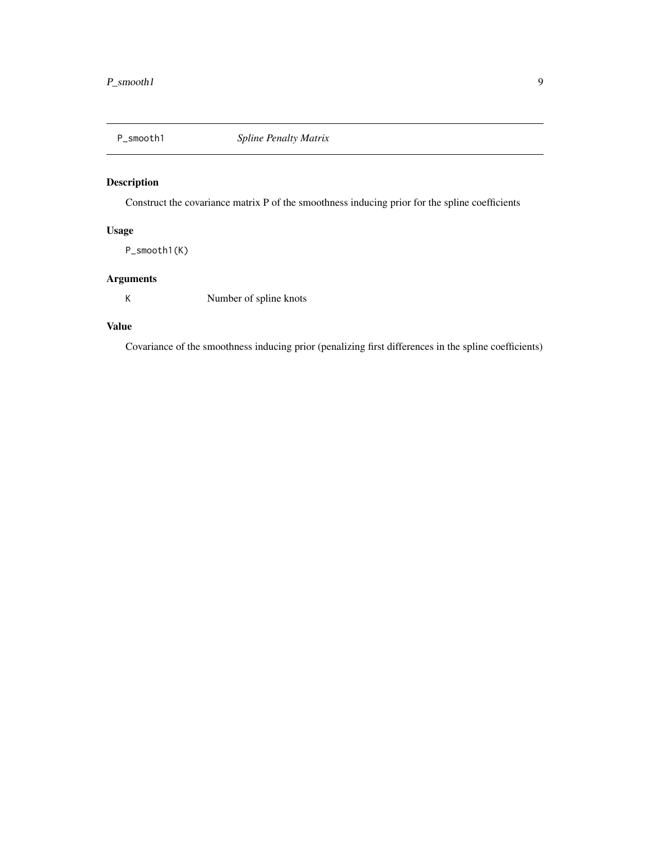<span id="page-8-0"></span>

#### Description

Construct the covariance matrix P of the smoothness inducing prior for the spline coefficients

#### Usage

P\_smooth1(K)

#### Arguments

K Number of spline knots

#### Value

Covariance of the smoothness inducing prior (penalizing first differences in the spline coefficients)